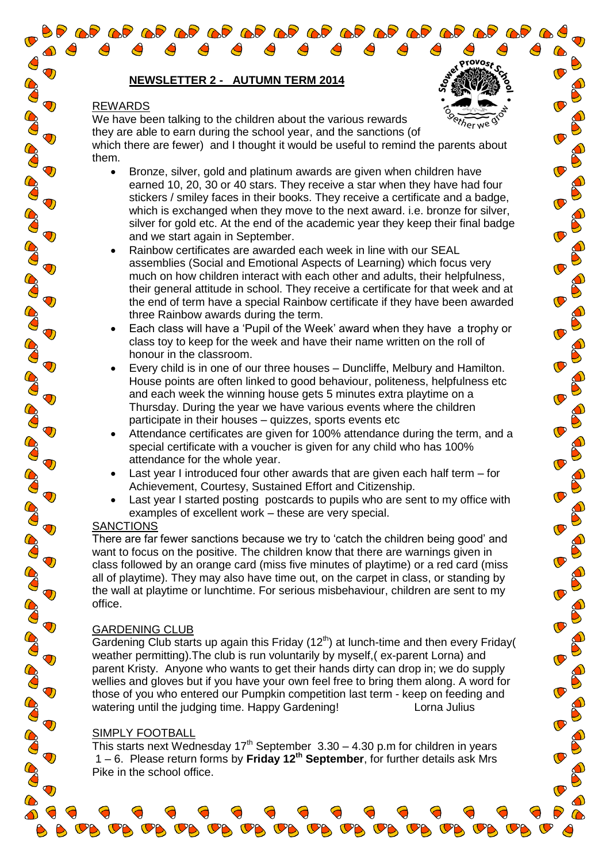# **NEWSLETTER 2 - AUTUMN TERM 2014**

# REWARDS

 $\mathbf \sigma$ 

 $\bigcirc$ 

 $\bigcirc$ 

 $\bigcirc$ 

 $\bigcirc$ 

 $\bigcirc$ 

 $\bigcirc$ 

 $\bigcirc$ 

 $\bigcirc$ 

 $\ddot{\mathbf{O}}$ 

 $\bigcirc$ 

 $\bigcirc$ 

 $\bigcirc$ 

 $\bigcirc$ 

Co

Co

CO

CO O

CO

Co

**BOO** 

60

CO

Co

We have been talking to the children about the various rewards they are able to earn during the school year, and the sanctions (of which there are fewer) and I thought it would be useful to remind the parents about them.

orovo<sub>s</sub>,

- Bronze, silver, gold and platinum awards are given when children have earned 10, 20, 30 or 40 stars. They receive a star when they have had four stickers / smiley faces in their books. They receive a certificate and a badge, which is exchanged when they move to the next award. i.e. bronze for silver, silver for gold etc. At the end of the academic year they keep their final badge and we start again in September.
- Rainbow certificates are awarded each week in line with our SEAL assemblies (Social and Emotional Aspects of Learning) which focus very much on how children interact with each other and adults, their helpfulness, their general attitude in school. They receive a certificate for that week and at the end of term have a special Rainbow certificate if they have been awarded three Rainbow awards during the term.
- Each class will have a 'Pupil of the Week' award when they have a trophy or class toy to keep for the week and have their name written on the roll of honour in the classroom.
- Every child is in one of our three houses Duncliffe, Melbury and Hamilton. House points are often linked to good behaviour, politeness, helpfulness etc and each week the winning house gets 5 minutes extra playtime on a Thursday. During the year we have various events where the children participate in their houses – quizzes, sports events etc
- Attendance certificates are given for 100% attendance during the term, and a special certificate with a voucher is given for any child who has 100% attendance for the whole year.
- Last year I introduced four other awards that are given each half term for Achievement, Courtesy, Sustained Effort and Citizenship.
- Last year I started posting postcards to pupils who are sent to my office with examples of excellent work – these are very special.

### SANCTIONS

There are far fewer sanctions because we try to 'catch the children being good' and want to focus on the positive. The children know that there are warnings given in class followed by an orange card (miss five minutes of playtime) or a red card (miss all of playtime). They may also have time out, on the carpet in class, or standing by the wall at playtime or lunchtime. For serious misbehaviour, children are sent to my office.

### GARDENING CLUB

Gardening Club starts up again this Friday ( $12<sup>th</sup>$ ) at lunch-time and then every Friday( weather permitting).The club is run voluntarily by myself,( ex-parent Lorna) and parent Kristy. Anyone who wants to get their hands dirty can drop in; we do supply wellies and gloves but if you have your own feel free to bring them along. A word for those of you who entered our Pumpkin competition last term - keep on feeding and watering until the judging time. Happy Gardening! Lorna Julius

### SIMPLY FOOTBALL

This starts next Wednesday 17<sup>th</sup> September 3.30 – 4.30 p.m for children in years 1 – 6. Please return forms by **Friday 12th September**, for further details ask Mrs Pike in the school office.

 $\sigma_{\beta}$   $\sigma_{\beta}$   $\sigma_{\beta}$   $\sigma_{\beta}$   $\sigma_{\beta}$   $\sigma_{\beta}$   $\sigma_{\beta}$   $\sigma_{\beta}$   $\sigma_{\beta}$   $\sigma_{\beta}$